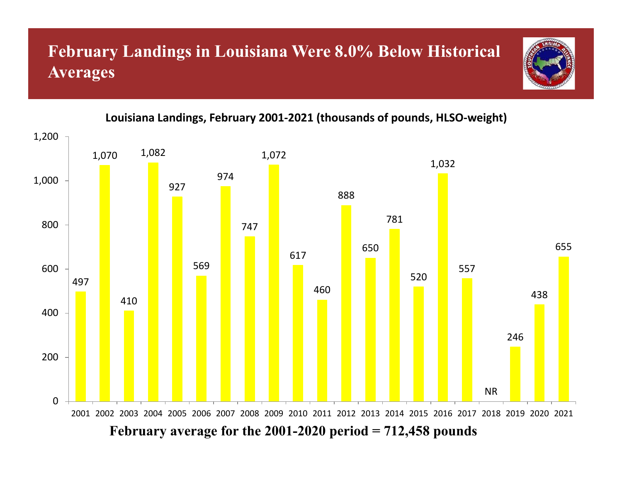# **February Landings in Louisiana Were 8.0% Below Historical Averages**



#### **Louisiana Landings, February 2001‐2021 (thousands of pounds, HLSO‐weight)**

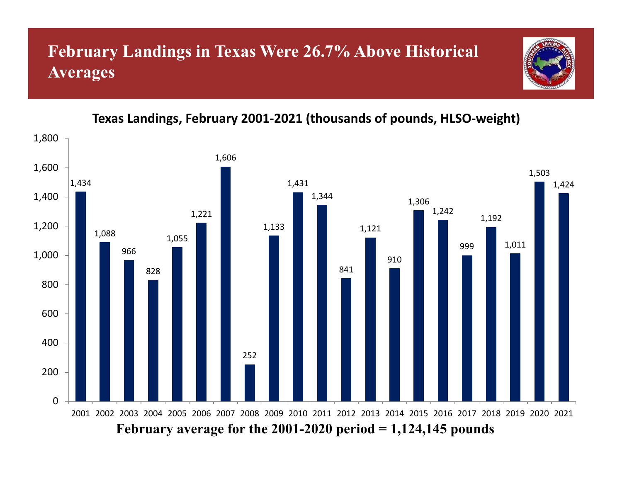#### **February Landings in Texas Were 26.7% Above Historical Averages**



#### **Texas Landings, February 2001‐2021 (thousands of pounds, HLSO‐weight)**

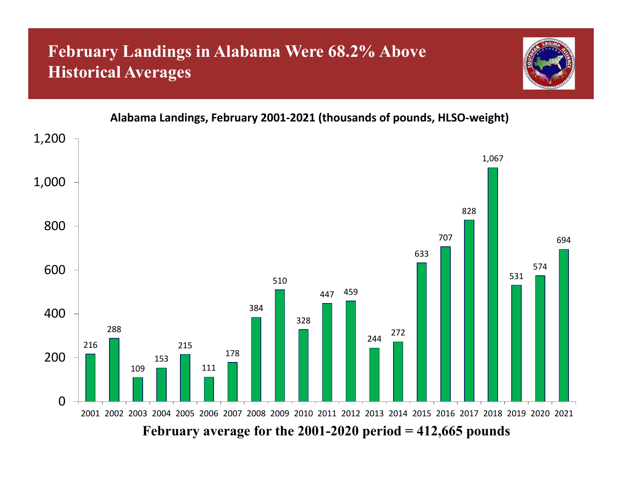# **February Landings in Alabama Were 68.2% Above Historical Averages**





**Alabama Landings, February 2001‐2021 (thousands of pounds, HLSO‐weight)**

**February average for the 2001-2020 period = 412,665 pounds**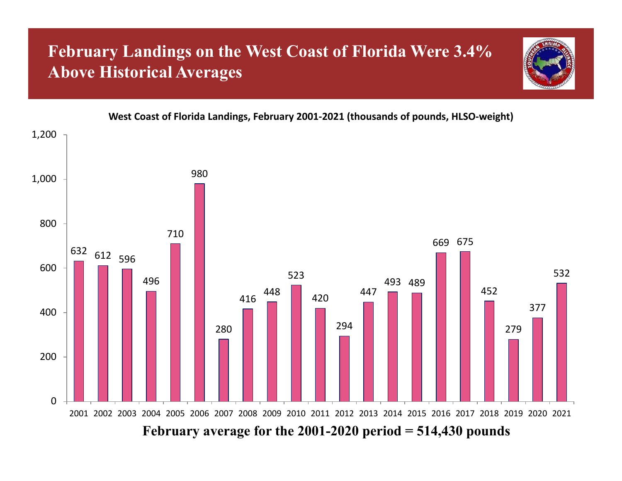## **February Landings on the West Coast of Florida Were 3.4% Above Historical Averages**





#### **February average for the 2001-2020 period = 514,430 pounds**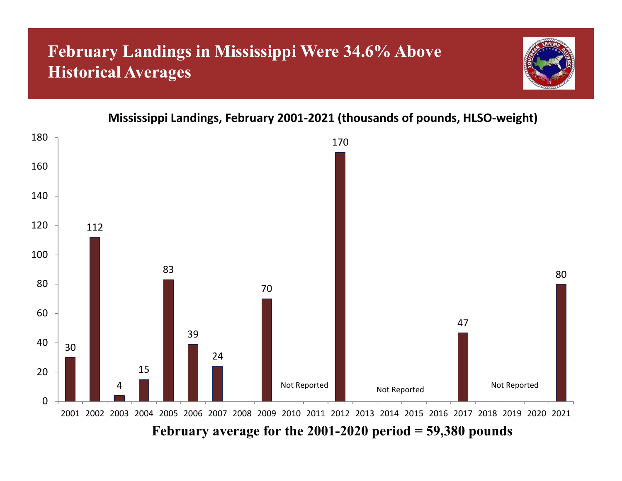# **February Landings in Mississippi Were 34.6% Above Historical Averages**



**Mississippi Landings, February 2001‐2021 (thousands of pounds, HLSO‐weight)**

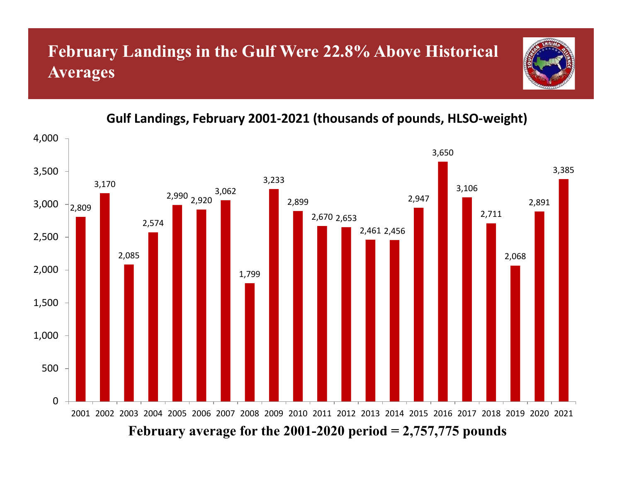#### **February Landings in the Gulf Were 22.8% Above Historical Averages**



#### **Gulf Landings, February 2001‐2021 (thousands of pounds, HLSO‐weight)**

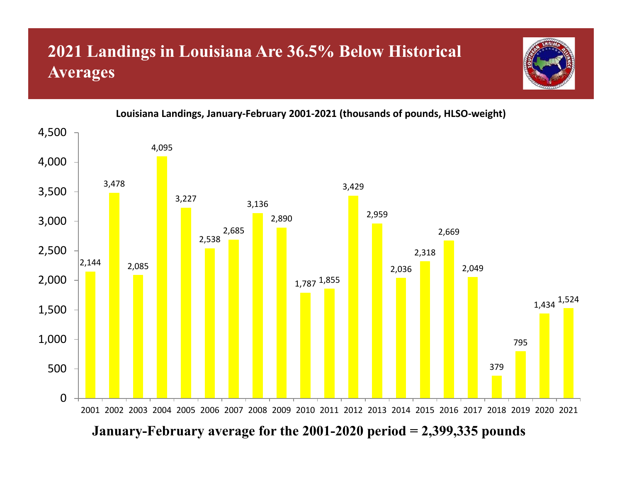# **2021 Landings in Louisiana Are 36.5% Below Historical Averages**





**Louisiana Landings, January‐February 2001‐2021 (thousands of pounds, HLSO‐weight)**

**January-February average for the 2001-2020 period = 2,399,335 pounds**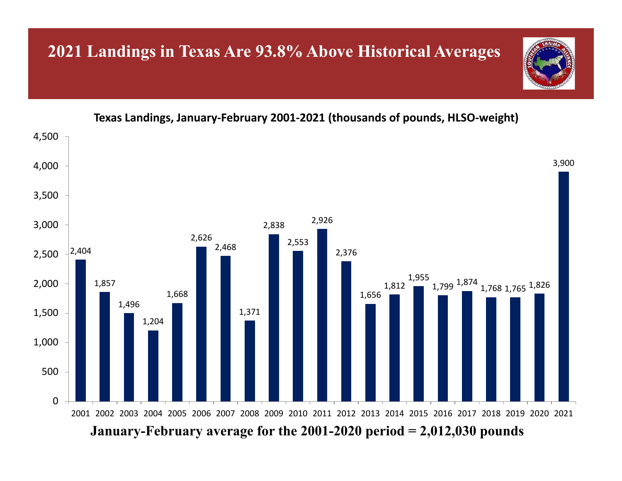#### **2021 Landings in Texas Are 93.8% Above Historical Averages**

**Texas Landings, January‐February 2001‐2021 (thousands of pounds, HLSO‐weight)**

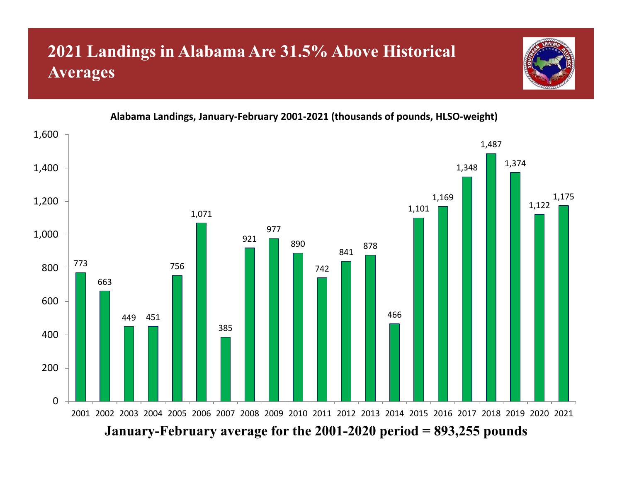# **2021 Landings in Alabama Are 31.5% Above Historical Averages**





**Alabama Landings, January‐February 2001‐2021 (thousands of pounds, HLSO‐weight)**

**January-February average for the 2001-2020 period = 893,255 pounds**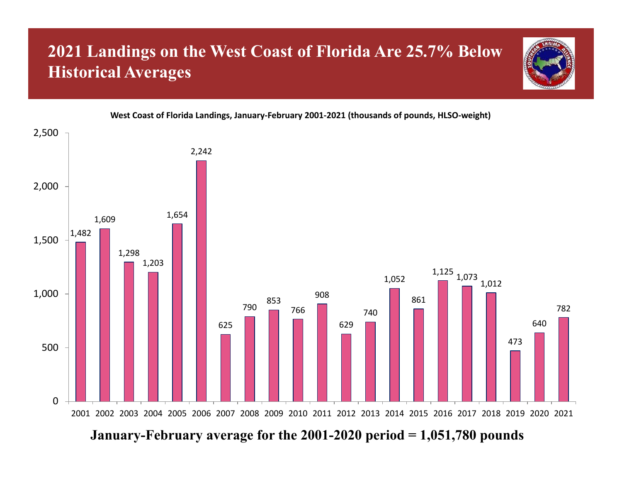# **2021 Landings on the West Coast of Florida Are 25.7% Below Historical Averages**



#### **West Coast of Florida Landings, January‐February 2001‐2021 (thousands of pounds, HLSO‐weight)**



**January-February average for the 2001-2020 period = 1,051,780 pounds**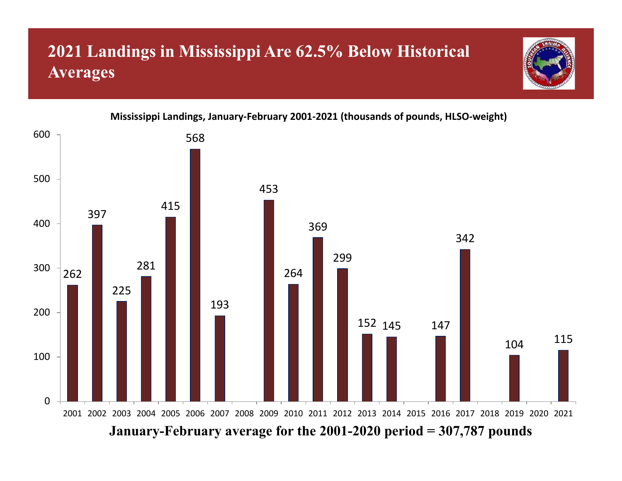# **2021 Landings in Mississippi Are 62.5% Below Historical Averages**



**Mississippi Landings, January‐February 2001‐2021 (thousands of pounds, HLSO‐weight)**

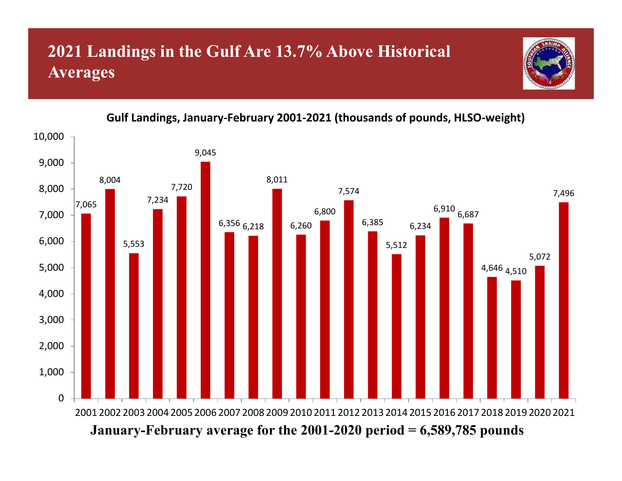## **2021 Landings in the Gulf Are 13.7% Above Historical Averages**



#### **Gulf Landings, January‐February 2001‐2021 (thousands of pounds, HLSO‐weight)**

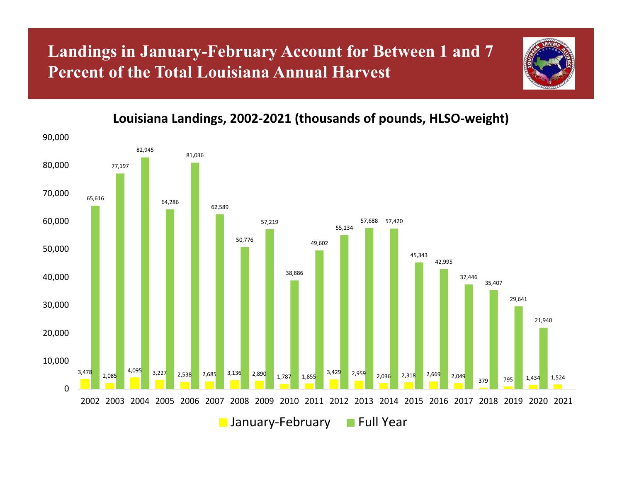#### **Landings in January-February Account for Between 1 and 7 Percent of the Total Louisiana Annual Harvest**



**Louisiana Landings, 2002‐2021 (thousands of pounds, HLSO‐weight)**

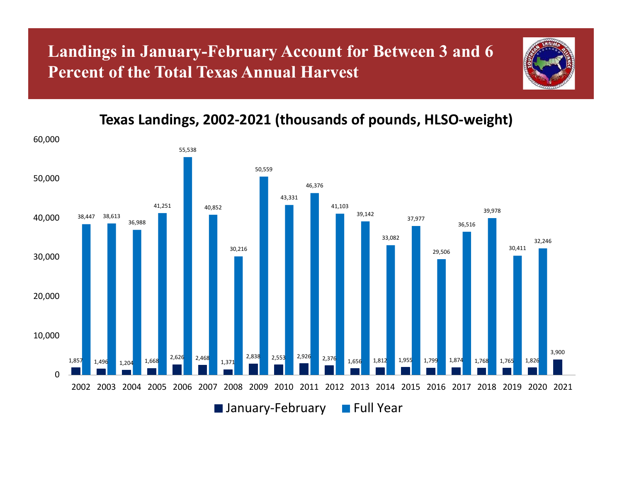#### **Landings in January-February Account for Between 3 and 6 Percent of the Total Texas Annual Harvest**



#### **Texas Landings, 2002‐2021 (thousands of pounds, HLSO‐weight)**

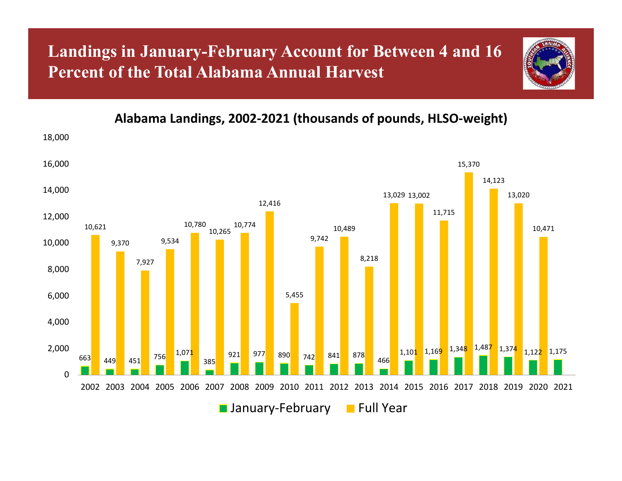#### **Landings in January-February Account for Between 4 and 16 Percent of the Total Alabama Annual Harvest**



**Alabama Landings, 2002‐2021 (thousands of pounds, HLSO‐weight)**

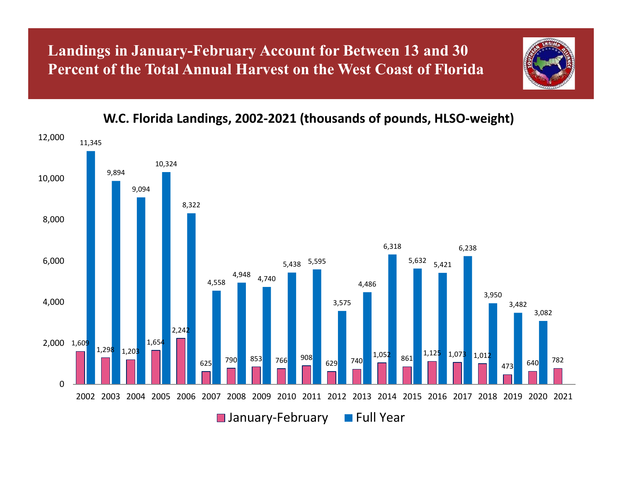**Landings in January-February Account for Between 13 and 30 Percent of the Total Annual Harvest on the West Coast of Florid a**



**W.C. Florida Landings, 2002‐2021 (thousands of pounds, HLSO‐weight)**

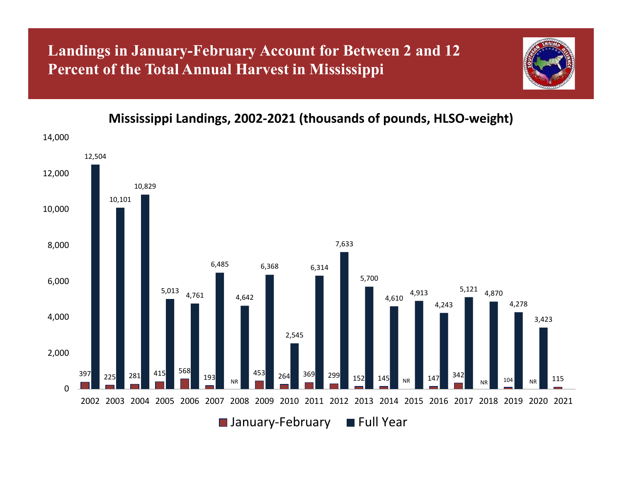#### **Landings in January-February Account for Between 2 and 12 Percent of the Total Annual Harvest in Mississippi**



**Mississippi Landings, 2002‐2021 (thousands of pounds, HLSO‐weight)**

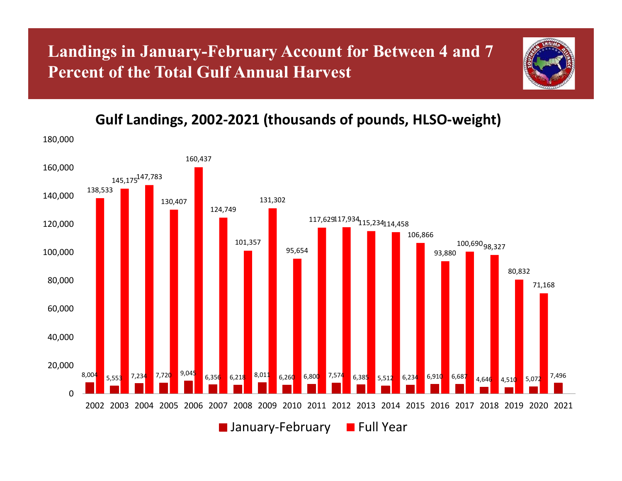#### **Landings in January-February Account for Between 4 and 7 Percent of the Total Gulf Annual Harvest**



#### **Gulf Landings, 2002‐2021 (thousands of pounds, HLSO‐weight)**

180,000

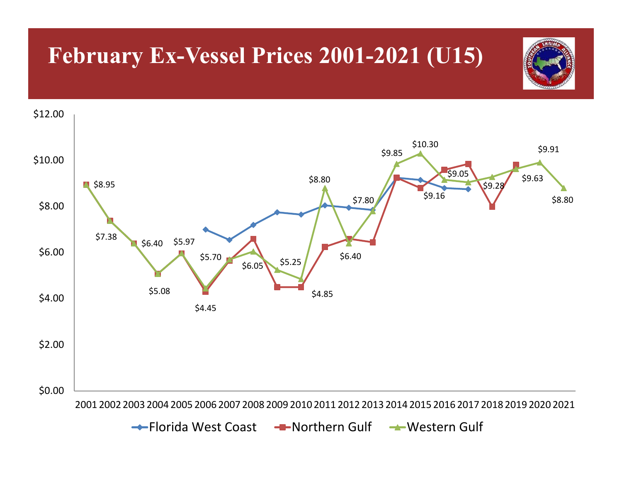# **February Ex-Vessel Prices 2001-2021 (U15)**

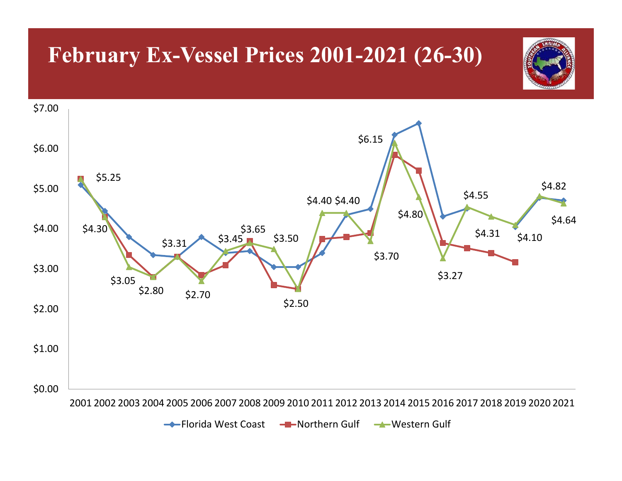# **February Ex-Vessel Prices 2001-2021 (26-30)**



Florida West Coast <del>- II -</del> Northern Gulf <del>- W</del>estern Gulf